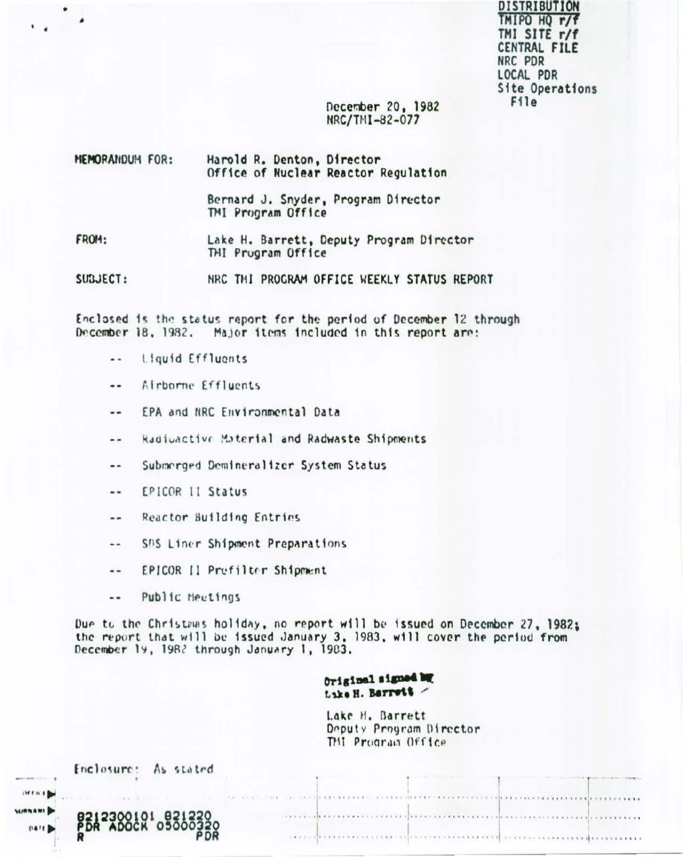DISTRIBUTION TMIPO HQ r/f TMI SITE r/f CENTRAL FILE NRC PDR LOCAL PDR Site Operations File<sup>1</sup>

### December 20, 1982 NRC/TMI-82-077

| MEMORANDUM FOR: | Harold R. Denton, Director<br>Office of Nuclear Reactor Regulation |  |  |
|-----------------|--------------------------------------------------------------------|--|--|
|                 | Bernard J. Snyder, Program Director<br>TMI Program Office          |  |  |
| FROM:           | Lake H. Barrett, Deputy Program Director<br>THI Prugram Office     |  |  |
| SUBJECT:        | NRC THI PROGRAM OFFICE WEEKLY STATUS REPORT                        |  |  |

Enclosed is the status report for the period of December 12 through December 18, 1982. Major items included in this report are:

Liquid Effluents  $\ddotsc$ 

 $\bullet$ 

- Airborne Effluents ..
- EPA and NRC Environmental Data  $-1$
- Radioactive Material and Radwaste Shipments --
- Submerged Demineralizer System Status ..
- EPICOR II Status  $\ddotsc$
- Reactor Building Entries  $\sim$
- SAS Liner Shipment Preparations  $\ddot{\phantom{1}}$
- EPICOR II Prefilter Shipment  $- -$
- $\sim$   $\sim$ Public Heetings

SUR

Due to the Christmas holiday, no report will be issued on December 27, 1982; the report that will be issued January 3, 1983, will cover the period from December 19, 1982 through January 1, 1983.

# Original signed by Lake H. Barrett /

Lake H. Barrett Deputy Program Director TMI Program Office

| Enclosure: As stated                       |                                                                                                                                                                                                                                |
|--------------------------------------------|--------------------------------------------------------------------------------------------------------------------------------------------------------------------------------------------------------------------------------|
| $(M+h)$                                    | THE SECOND CONTRACTOR CONTRACTOR OF A SECOND CONTRACTOR CONTRACTOR CONTRACTOR CONTRACTOR                                                                                                                                       |
| <b>URNAMI</b><br>BS12300101 821220<br>0411 | in a mark and the transition of the control of the transition of the control of the company of the control of the control of the control of the control of the control of the control of the control of the control of the con |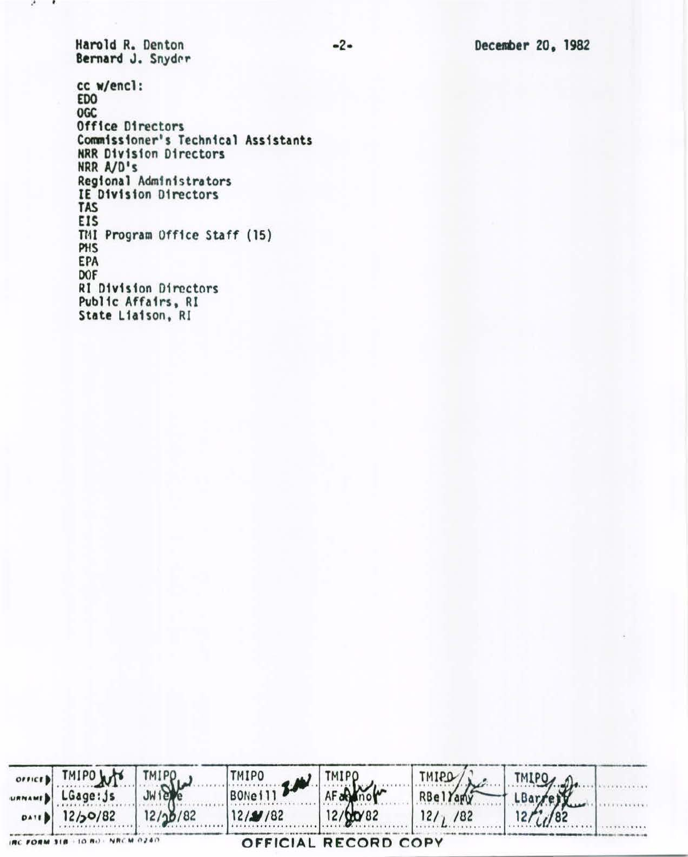Harold R. Denton Bernard J. Snyder

 $\cdots$ 

cc w/encl:<br>EDO OGC Office Directors Commissioner's Technical Assistants **NRR Division Directors** NRR A/D's Regional Administrators IE Division Directors TAS **EIS** TMI Program Office Staff (15) PHS **EPA** DOF **RI Division Directors** Public Affairs, RI<br>State Liaison, RI

| OFFICED THIPO WYS THIPO         | $\text{TMIPO}$ $\rightarrow$ $\rightarrow$ $\text{TMIPO}$ |                      | $\sqrt{291MT}$   | TMIPO, n |
|---------------------------------|-----------------------------------------------------------|----------------------|------------------|----------|
| URNAMED LGage: js               |                                                           |                      | <b>RBel</b> Yamy |          |
| $0A18$   12/30/82   12/30/82    | $12/\mathcal{N}/82$ $12/\mathcal{N}82$                    |                      | 12/7/82          |          |
| IRC FORM 318 -10 BO - NRCM 0240 |                                                           | OFFICIAL RECORD COPY |                  |          |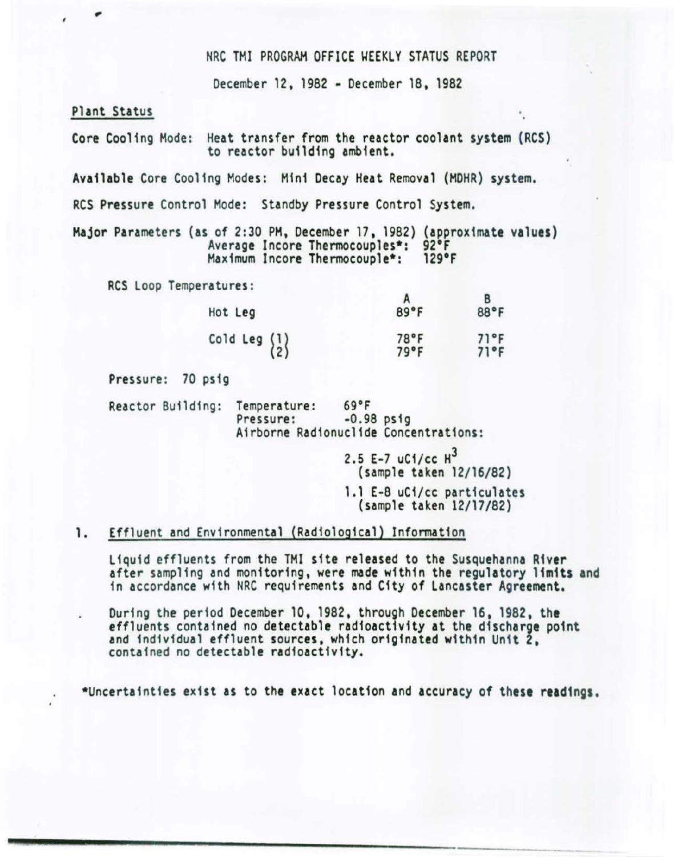#### NRC TMI PROGRAM OFFICE WEEKLY STATUS REPORT

December 12, 1982 - December 18, 1982

### Plant Status

٠

Core Cooling Mode: Heat transfer from the reactor coolant system (RCS) to reactor building ambient.

Available Core Cooling Modes: Mini Decay Heat Removal (MOHR) system.

RCS Pressure Control Mode: Standby Pressure Control System.

Major Parameters (as of 2:30 PM, December 17, 1982) (approximate values)<br>Average Incore Thermocouples\*: 92°F<br>Maximum Incore Thermocouple\*: 129°F Maximum Incore Thermocouple\*:

RCS Loop Temperatures:

| Hot Leg                                         | 89°F         | 88°F         |
|-------------------------------------------------|--------------|--------------|
| Cold Leg $\begin{Bmatrix} 1 \\ 2 \end{Bmatrix}$ | 78°F<br>79°F | 71°F<br>71°F |

Pressure: 70 ps1g

Reactor Building: Temperature: 69°F Airborne Radionuclide Concentrations:

> 2.5 E-7 uC1/cc  $H^3$ {sample taken 12/16/82) 1.1 E-8 uCi/cc particulates (sample taken 12/17/82)

#### 1. Effluent and Environmental (Radiological) Information

Liquid effluents from the THI site released to the Susquehanna River after sampling and monitoring, were made within the regulatory limits and 1n accordance with NRC requirements and City of Lancaster Agreement.

During the period December 10, 1982, through December 16, 1982. the effluents contained no detectable radioactivity at the discharge point and individual effluent sources, which originated within Unit 2, contained no detectable radioactivity.

•uncertainties exist as to the exact location and accuracy of these readings.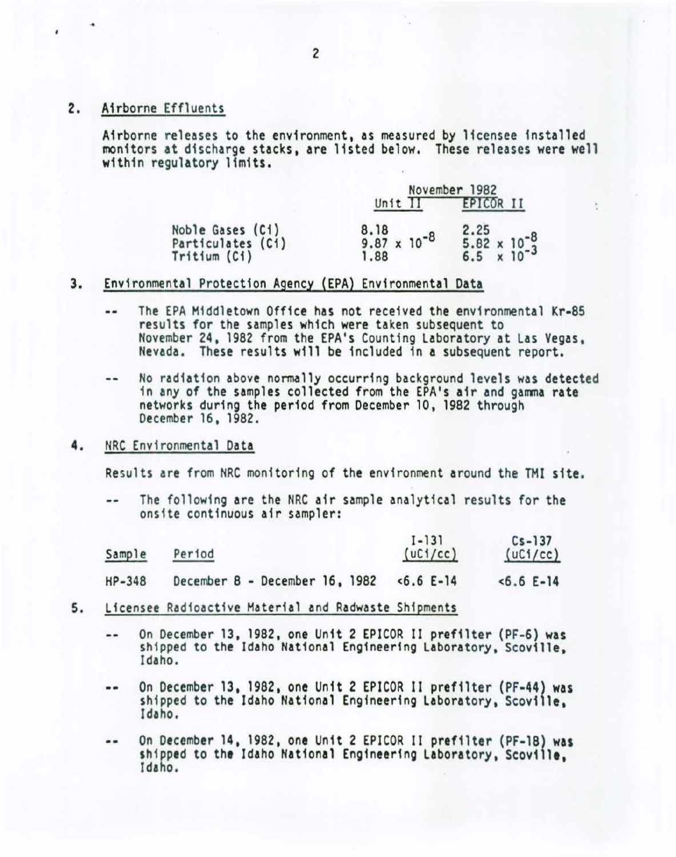#### 2. Airborne Effluents

Airborne releases to the environment, as measured by licensee installed monitors at discharge stacks, are listed below. These releases were well within regulatory limits.

|                                                       | November 1982                         |                                                       |
|-------------------------------------------------------|---------------------------------------|-------------------------------------------------------|
|                                                       | Unit II                               | EPICOR II                                             |
| Noble Gases (Ci)<br>Particulates (Ci)<br>Tritium (Ci) | 8.18<br>$9.87 \times 10^{-8}$<br>1.88 | 2.25<br>$5.82 \times 10^{-8}$<br>6.5 $\times 10^{-3}$ |

# 3. Environmental Protection Agency (EPA) Environmental Data

- The EPA Middletown Office has not received the environmental Kr-85  $-1$ results for the samples which were taken subsequent to November 24, 1982 from the EPA's Counting Laboratory at Las Vegas, Nevada. These results will be included in a subsequent report.
- No radiation above normally occurring background levels was detected .. 1n any of the samples collected from the EPA's air and gamma rate networks during the period from December 10, 1982 through December 16, 1982.

# 4. NRC Environmental Data

Results are from NRC monitoring of the environment around the TMI site.

The following are the NRC air sample analytical results for the ons1te continuous air sampler:

| Sample | Period                         | $I - 131$<br>(uC1/cc) | $Cs - 137$<br>(uC1/cc) |
|--------|--------------------------------|-----------------------|------------------------|
| HP-348 | December 8 - December 16, 1982 | $5.6E-14$             | $5.6$ E-14             |

- 5. Licensee Radioactive Material and Radwaste Shipments
	- On December 13, 1982, one Unit 2 EPICOR II prefilter (PF-6) was  $\cdots$ shipped to the Idaho National Engineering Laboratory, Scoville, Idaho.
	- -- On December 13, 1982, one Unit 2 EPICOR II prefilter (PF-44) was shipped to the Idaho National Engineering Laboratory, Scoville, Idaho.
	- On December 14, 1982, one Unit 2 EPICOR II prefilter (PF-18) was .. shipped to the Idaho National Engineering Laboratory, Scoville,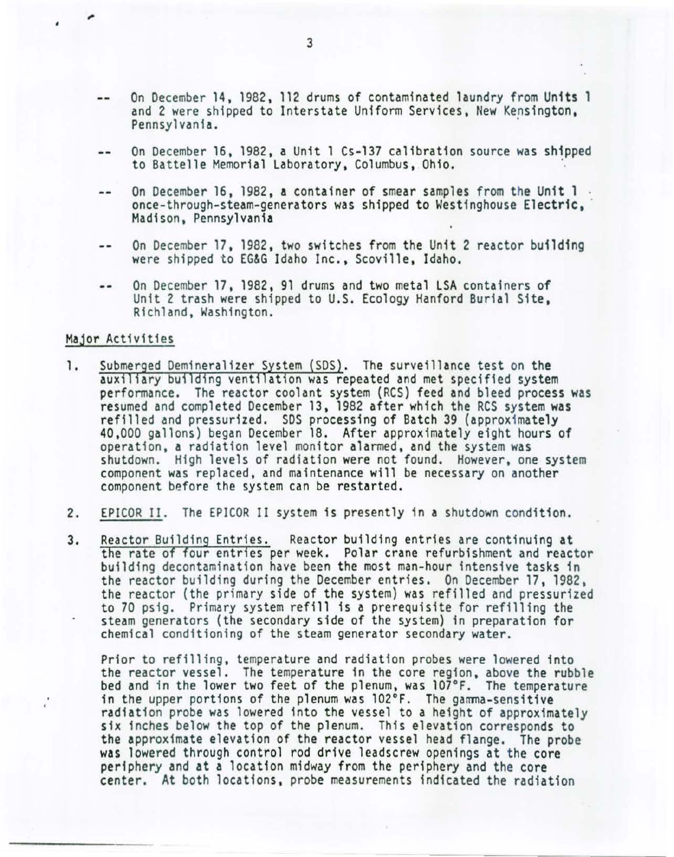- On December 14, 1982, 112 drums of contaminated laundry from Units 1 and 2 were shipped to Interstate Uniform Services, New Kensington, Pennsylvania.
- On December 16, 1982, a Unit 1 Cs-137 calibration source was shipped  $-1$ to Battelle Memorial Laboratory, Columbus, Ohio.
- On December 16, 1982, a container of smear samples from the Unit 1.  $\qquad \qquad$ once-through-steam-generators was shipped to Westinghouse Electric, Madison, Pennsylvania
- On December 17 , 1982, two switches from the Unit 2 reactor building  $\omega$  as were shipped to EG&G Idaho Inc., Scoville, Idaho.
- On December 17, 1982, 91 drums and two metal LSA containers of  $- -$ Unit 2 trash were shipped to U.S. Ecology Hanford Burial Site, Richland, Washington.

### Major Activities

- 1. Submerged Demineralizer System (SDS). The surveillance test on the auxiliary building ventilation was repeated and met specified system performance. The reactor coolant system (RCS) feed and bleed process was resumed and completed December 13, 1982 after which the RCS system was<br>refilled and pressurized. SDS processing of Batch 39 (approximately 40,000 gallons) began December 18. After approximately eight hours of operation, a radiation level monitor alarmed, and the system was shutdown. High levels of radiation were not found. However, one system component was replaced, and maintenance will be necessary on another component before the system can be restarted.
- 2. EPICOR II. The EPJCOR II system is presently in a shutdown condition .
- 3. Reactor Building Entries. Reactor building entries are continuing at the rate of four entries per week. Polar crane refurbishment and reactor bu ilding decontamination have been the most man-hour intensive tasks in the reactor building during the December entries. On December 17, 1982, the reactor (the primary side of the system} was refilled and pressurized to 70 psig. Primary system refill is a prerequisite for refilling the steam generators (the secondary side of the system) in preparation for chemical conditioning of the steam generator secondary water.

Prior to refilling, temperature and radiation probes were lowered into the reactor vessel. The temperature in the core region, above the rubble bed and in the lower two feet of the plenum, was 107°F. The temperature in the upper portions of the plenum was  $102^{\circ}F$ . The gamma-sensitive radiation probe was lowered into the vessel to a height of approximately six inches below the top of the plenum. This elevation corresponds to the approximate elevation of the reactor vessel head flange. The probe was lowered through control rod drive leadscrew openings at the core periphery and at a location midway from the periphery and the core center. At both locations, probe measurements indicated the radiation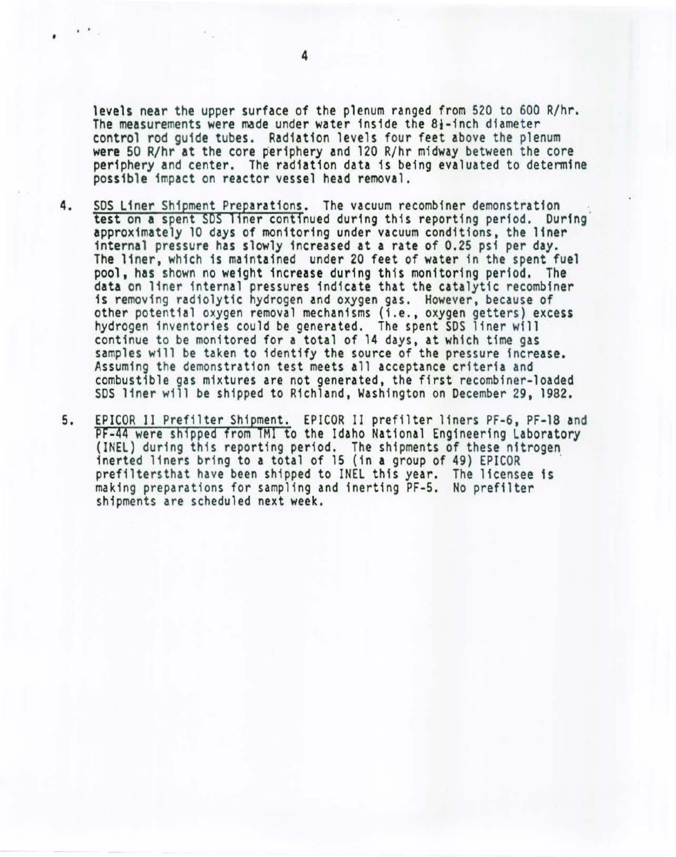levels near the upper surface of the plenum ranged from 520 to 600 R/hr. The measurements were made under water inside the  $8<sub>1</sub>$ -inch diameter control rod guide tubes. Radiation levels four feet above the plenum were 50 R/hr at the core periphery and 120 R/hr midway between the core periphery and center. The radiation data is being evaluated to determine possible impact on reactor vessel head removal.

- 4. SDS Liner Shipment Preparations. The vacuum recombiner demonstration test on a spent SDS liner continued during this reporting period. During approximately 10 days of monitoring under vacuum conditions, the liner internal pressure has slowly increased at a rate of 0.25 psi per day. The liner, which is maintained under 20 feet of water in the spent fuel pool, has shown no weight increase during this monitoring period. The data on liner internal pressures indicate that the catalytic recombiner is removing radiolytic hydrogen and oxygen gas. However, because of other potential oxygen removal mechanisms (i.e., oxygen getters) excess hydrogen inventories could be generated. The spent SDS liner will continue to be monitored for a total of 14 days, at which time gas samples will be taken to identify the source of the pressure increase. Assuming the demonstration test meets all acceptance criteria and combustible gas mixtures are not generated, the first recombiner-loaded SDS liner will be shipped to Richland, Washington on December 29, 1982.
- 5. EPICOR II Prefilter Shipment. EPICOR II prefilter liners PF-6, PF-18 and<br>PF-44 were shipped from TMI to the Idaho National Engineering Laboratory<br>(INEL) during this reporting period. The shipments of these nitrogen<br>iner making preparations for sampling and inerting PF-5. No prefilter shipments are scheduled next week.

• ..